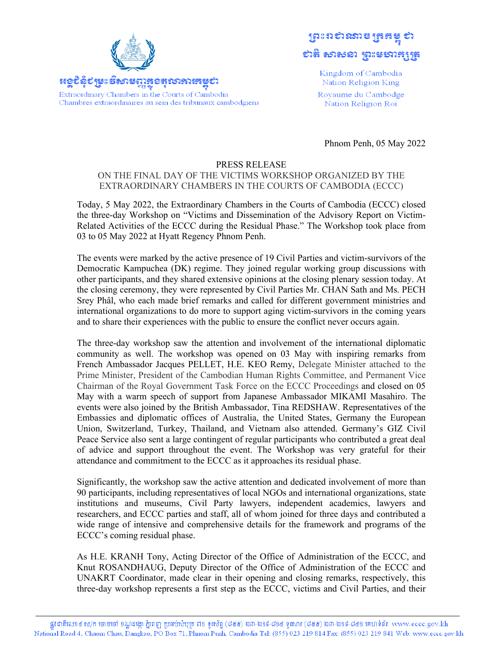



Kingdom of Cambodia Nation Religion King Royaume du Cambodge Nation Religion Roi

Phnom Penh, 05 May 2022

## PRESS RELEASE

## ON THE FINAL DAY OF THE VICTIMS WORKSHOP ORGANIZED BY THE EXTRAORDINARY CHAMBERS IN THE COURTS OF CAMBODIA (ECCC)

Today, 5 May 2022, the Extraordinary Chambers in the Courts of Cambodia (ECCC) closed the three-day Workshop on "Victims and Dissemination of the Advisory Report on Victim-Related Activities of the ECCC during the Residual Phase." The Workshop took place from 03 to 05 May 2022 at Hyatt Regency Phnom Penh.

The events were marked by the active presence of 19 Civil Parties and victim-survivors of the Democratic Kampuchea (DK) regime. They joined regular working group discussions with other participants, and they shared extensive opinions at the closing plenary session today. At the closing ceremony, they were represented by Civil Parties Mr. CHAN Sath and Ms. PECH Srey Phâl, who each made brief remarks and called for different government ministries and international organizations to do more to support aging victim-survivors in the coming years and to share their experiences with the public to ensure the conflict never occurs again.

The three-day workshop saw the attention and involvement of the international diplomatic community as well. The workshop was opened on 03 May with inspiring remarks from French Ambassador Jacques PELLET, H.E. KEO Remy, Delegate Minister attached to the Prime Minister, President of the Cambodian Human Rights Committee, and Permanent Vice Chairman of the Royal Government Task Force on the ECCC Proceedings and closed on 05 May with a warm speech of support from Japanese Ambassador MIKAMI Masahiro. The events were also joined by the British Ambassador, Tina REDSHAW. Representatives of the Embassies and diplomatic offices of Australia, the United States, Germany the European Union, Switzerland, Turkey, Thailand, and Vietnam also attended. Germany's GIZ Civil Peace Service also sent a large contingent of regular participants who contributed a great deal of advice and support throughout the event. The Workshop was very grateful for their attendance and commitment to the ECCC as it approaches its residual phase.

Significantly, the workshop saw the active attention and dedicated involvement of more than 90 participants, including representatives of local NGOs and international organizations, state institutions and museums, Civil Party lawyers, independent academics, lawyers and researchers, and ECCC parties and staff, all of whom joined for three days and contributed a wide range of intensive and comprehensive details for the framework and programs of the ECCC's coming residual phase.

As H.E. KRANH Tony, Acting Director of the Office of Administration of the ECCC, and Knut ROSANDHAUG, Deputy Director of the Office of Administration of the ECCC and UNAKRT Coordinator, made clear in their opening and closing remarks, respectively, this three-day workshop represents a first step as the ECCC, victims and Civil Parties, and their

ផ្លូវជាតិលេខ៤ ស/ក ចោមចៅ ខណ្ឌដង្កោ ភ្នំពេញ ប្រអប់សំបុត្រ ៧១ ទូរស័ព្ទ (៨៥៥) ២៣-២១៩-៨១៤ ទូរសារ (៨៥៥) ២៣-២១៩-៨៤១ គេហទំព័រ www.eccc.gov.kh National Road 4, Chaom Chau, Dangkao, PO Box 71, Phnom Penh, Cambodia Tel: (855) 023 219 814 Fax: (855) 023 219 841 Web: www.eccc.gov.kh